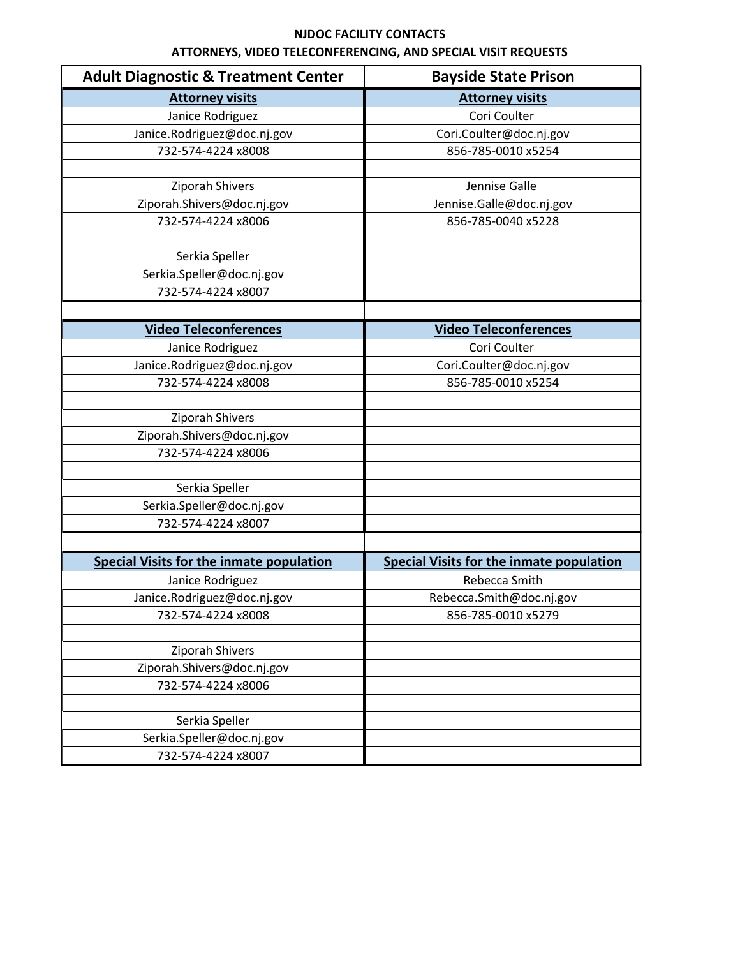| <b>Adult Diagnostic &amp; Treatment Center</b>  | <b>Bayside State Prison</b>                     |
|-------------------------------------------------|-------------------------------------------------|
| <b>Attorney visits</b>                          | <b>Attorney visits</b>                          |
| Janice Rodriguez                                | Cori Coulter                                    |
| Janice.Rodriguez@doc.nj.gov                     | Cori.Coulter@doc.nj.gov                         |
| 732-574-4224 x8008                              | 856-785-0010 x5254                              |
|                                                 |                                                 |
| Ziporah Shivers                                 | Jennise Galle                                   |
| Ziporah.Shivers@doc.nj.gov                      | Jennise.Galle@doc.nj.gov                        |
| 732-574-4224 x8006                              | 856-785-0040 x5228                              |
|                                                 |                                                 |
| Serkia Speller                                  |                                                 |
| Serkia.Speller@doc.nj.gov                       |                                                 |
| 732-574-4224 x8007                              |                                                 |
|                                                 |                                                 |
| <b>Video Teleconferences</b>                    | <b>Video Teleconferences</b>                    |
| Janice Rodriguez                                | Cori Coulter                                    |
| Janice.Rodriguez@doc.nj.gov                     | Cori.Coulter@doc.nj.gov                         |
| 732-574-4224 x8008                              | 856-785-0010 x5254                              |
|                                                 |                                                 |
| Ziporah Shivers                                 |                                                 |
| Ziporah.Shivers@doc.nj.gov                      |                                                 |
| 732-574-4224 x8006                              |                                                 |
|                                                 |                                                 |
| Serkia Speller                                  |                                                 |
| Serkia.Speller@doc.nj.gov                       |                                                 |
| 732-574-4224 x8007                              |                                                 |
|                                                 |                                                 |
| <b>Special Visits for the inmate population</b> | <b>Special Visits for the inmate population</b> |
| Janice Rodriguez                                | Rebecca Smith                                   |
| Janice.Rodriguez@doc.nj.gov                     | Rebecca.Smith@doc.nj.gov                        |
| 732-574-4224 x8008                              | 856-785-0010 x5279                              |
|                                                 |                                                 |
| Ziporah Shivers                                 |                                                 |
| Ziporah.Shivers@doc.nj.gov                      |                                                 |
| 732-574-4224 x8006                              |                                                 |
|                                                 |                                                 |
| Serkia Speller                                  |                                                 |
| Serkia.Speller@doc.nj.gov                       |                                                 |
| 732-574-4224 x8007                              |                                                 |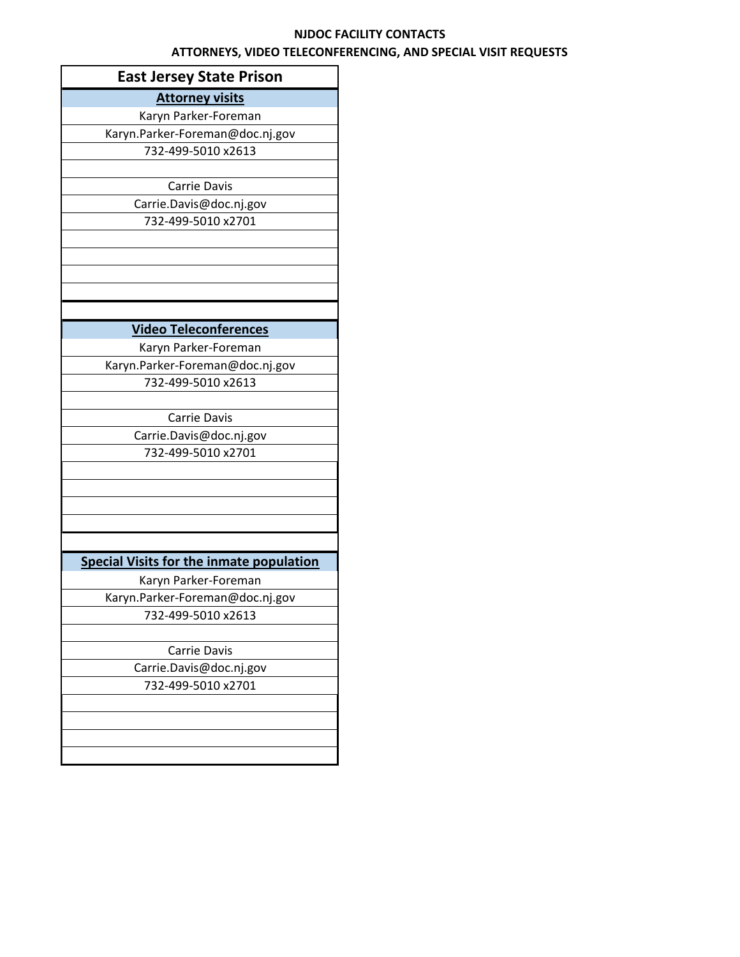| <b>East Jersey State Prison</b>                 |
|-------------------------------------------------|
| <b>Attorney visits</b>                          |
| Karyn Parker-Foreman                            |
| Karyn.Parker-Foreman@doc.nj.gov                 |
| 732-499-5010 x2613                              |
|                                                 |
| Carrie Davis                                    |
| Carrie.Davis@doc.nj.gov                         |
| 732-499-5010 x2701                              |
|                                                 |
|                                                 |
|                                                 |
|                                                 |
|                                                 |
| <b>Video Teleconferences</b>                    |
| Karyn Parker-Foreman                            |
| Karyn.Parker-Foreman@doc.nj.gov                 |
| 732-499-5010 x2613                              |
|                                                 |
| Carrie Davis                                    |
| Carrie.Davis@doc.nj.gov                         |
| 732-499-5010 x2701                              |
|                                                 |
|                                                 |
|                                                 |
|                                                 |
|                                                 |
| <b>Special Visits for the inmate population</b> |
| Karyn Parker-Foreman                            |
| Karyn.Parker-Foreman@doc.nj.gov                 |
| 732-499-5010 x2613                              |
|                                                 |
| Carrie Davis                                    |
| Carrie.Davis@doc.nj.gov                         |
| 732-499-5010 x2701                              |
|                                                 |
|                                                 |
|                                                 |
|                                                 |
|                                                 |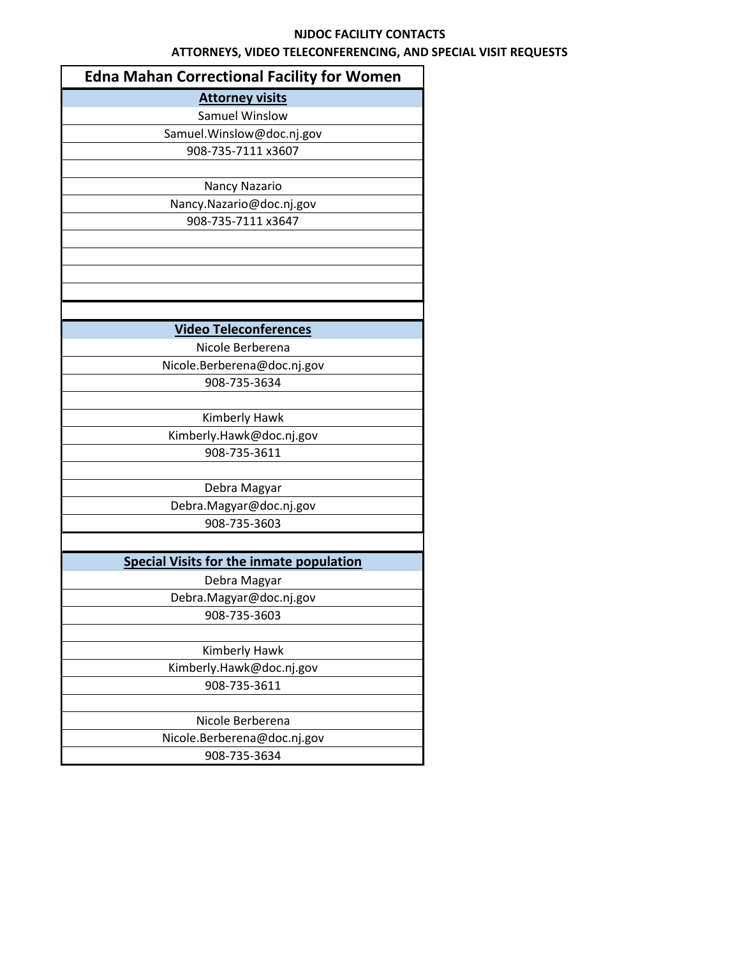| <b>Edna Mahan Correctional Facility for Women</b> |  |  |
|---------------------------------------------------|--|--|
| <b>Attorney visits</b>                            |  |  |
| <b>Samuel Winslow</b>                             |  |  |
| Samuel.Winslow@doc.nj.gov                         |  |  |
| 908-735-7111 x3607                                |  |  |
|                                                   |  |  |
| Nancy Nazario                                     |  |  |
| Nancy.Nazario@doc.nj.gov                          |  |  |
| 908-735-7111 x3647                                |  |  |
|                                                   |  |  |
|                                                   |  |  |
|                                                   |  |  |
|                                                   |  |  |
|                                                   |  |  |
| <b>Video Teleconferences</b>                      |  |  |
| Nicole Berberena                                  |  |  |
| Nicole.Berberena@doc.nj.gov                       |  |  |
| 908-735-3634                                      |  |  |
|                                                   |  |  |
| Kimberly Hawk                                     |  |  |
| Kimberly.Hawk@doc.nj.gov                          |  |  |
| 908-735-3611                                      |  |  |
|                                                   |  |  |
| Debra Magyar                                      |  |  |
| Debra.Magyar@doc.nj.gov                           |  |  |
| 908-735-3603                                      |  |  |
|                                                   |  |  |
| <b>Special Visits for the inmate population</b>   |  |  |
| Debra Magyar                                      |  |  |
| Debra.Magyar@doc.nj.gov                           |  |  |
| 908-735-3603                                      |  |  |
|                                                   |  |  |
| Kimberly Hawk                                     |  |  |
| Kimberly.Hawk@doc.nj.gov                          |  |  |
| 908-735-3611                                      |  |  |
|                                                   |  |  |
| Nicole Berberena                                  |  |  |
| Nicole.Berberena@doc.nj.gov                       |  |  |
| 908-735-3634                                      |  |  |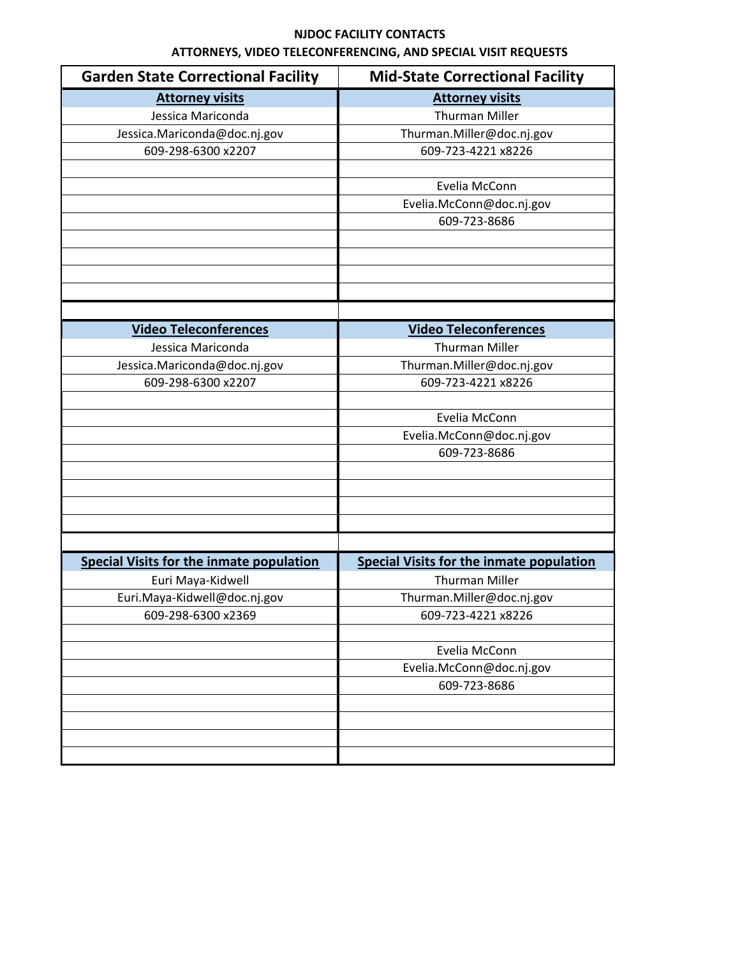| <b>Garden State Correctional Facility</b>       | <b>Mid-State Correctional Facility</b>   |
|-------------------------------------------------|------------------------------------------|
| <b>Attorney visits</b>                          | <b>Attorney visits</b>                   |
| Jessica Mariconda                               | <b>Thurman Miller</b>                    |
| Jessica.Mariconda@doc.nj.gov                    | Thurman.Miller@doc.nj.gov                |
| 609-298-6300 x2207                              | 609-723-4221 x8226                       |
|                                                 |                                          |
|                                                 | Evelia McConn                            |
|                                                 | Evelia.McConn@doc.nj.gov                 |
|                                                 | 609-723-8686                             |
|                                                 |                                          |
|                                                 |                                          |
|                                                 |                                          |
|                                                 |                                          |
|                                                 |                                          |
| <b>Video Teleconferences</b>                    | <b>Video Teleconferences</b>             |
| Jessica Mariconda                               | <b>Thurman Miller</b>                    |
| Jessica.Mariconda@doc.nj.gov                    | Thurman.Miller@doc.nj.gov                |
| 609-298-6300 x2207                              | 609-723-4221 x8226                       |
|                                                 |                                          |
|                                                 | Evelia McConn                            |
|                                                 | Evelia.McConn@doc.nj.gov                 |
|                                                 | 609-723-8686                             |
|                                                 |                                          |
|                                                 |                                          |
|                                                 |                                          |
|                                                 |                                          |
|                                                 |                                          |
| <b>Special Visits for the inmate population</b> | Special Visits for the inmate population |
| Euri Maya-Kidwell                               | <b>Thurman Miller</b>                    |
| Euri.Maya-Kidwell@doc.nj.gov                    | Thurman.Miller@doc.nj.gov                |
| 609-298-6300 x2369                              | 609-723-4221 x8226                       |
|                                                 |                                          |
|                                                 | Evelia McConn                            |
|                                                 | Evelia.McConn@doc.nj.gov                 |
|                                                 | 609-723-8686                             |
|                                                 |                                          |
|                                                 |                                          |
|                                                 |                                          |
|                                                 |                                          |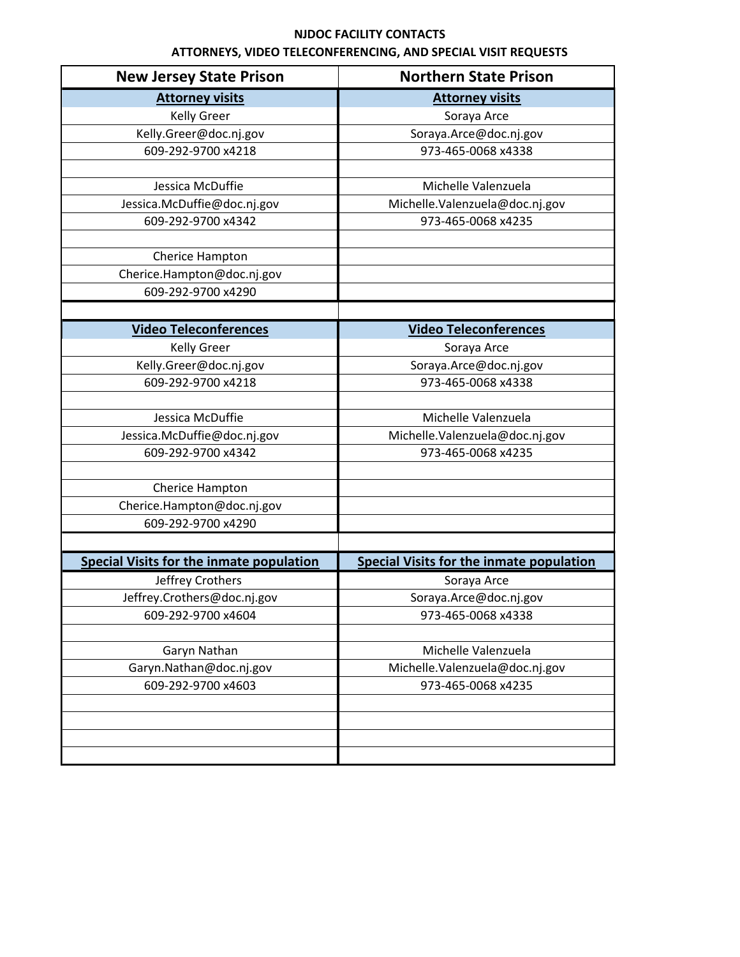| <b>New Jersey State Prison</b>                  | <b>Northern State Prison</b>             |
|-------------------------------------------------|------------------------------------------|
| <b>Attorney visits</b>                          | <b>Attorney visits</b>                   |
| <b>Kelly Greer</b>                              | Soraya Arce                              |
| Kelly.Greer@doc.nj.gov                          | Soraya.Arce@doc.nj.gov                   |
| 609-292-9700 x4218                              | 973-465-0068 x4338                       |
|                                                 |                                          |
| Jessica McDuffie                                | Michelle Valenzuela                      |
| Jessica.McDuffie@doc.nj.gov                     | Michelle.Valenzuela@doc.nj.gov           |
| 609-292-9700 x4342                              | 973-465-0068 x4235                       |
|                                                 |                                          |
| Cherice Hampton                                 |                                          |
| Cherice.Hampton@doc.nj.gov                      |                                          |
| 609-292-9700 x4290                              |                                          |
|                                                 |                                          |
| <b>Video Teleconferences</b>                    | <b>Video Teleconferences</b>             |
| <b>Kelly Greer</b>                              | Soraya Arce                              |
| Kelly.Greer@doc.nj.gov                          | Soraya.Arce@doc.nj.gov                   |
| 609-292-9700 x4218                              | 973-465-0068 x4338                       |
|                                                 |                                          |
| Jessica McDuffie                                | Michelle Valenzuela                      |
| Jessica.McDuffie@doc.nj.gov                     | Michelle.Valenzuela@doc.nj.gov           |
| 609-292-9700 x4342                              | 973-465-0068 x4235                       |
|                                                 |                                          |
| Cherice Hampton                                 |                                          |
| Cherice.Hampton@doc.nj.gov                      |                                          |
| 609-292-9700 x4290                              |                                          |
|                                                 |                                          |
| <b>Special Visits for the inmate population</b> | Special Visits for the inmate population |
| Jeffrey Crothers                                | Soraya Arce                              |
| Jeffrey.Crothers@doc.nj.gov                     | Soraya.Arce@doc.nj.gov                   |
| 609-292-9700 x4604                              | 973-465-0068 x4338                       |
|                                                 |                                          |
| Garyn Nathan                                    | Michelle Valenzuela                      |
| Garyn.Nathan@doc.nj.gov                         | Michelle.Valenzuela@doc.nj.gov           |
| 609-292-9700 x4603                              | 973-465-0068 x4235                       |
|                                                 |                                          |
|                                                 |                                          |
|                                                 |                                          |
|                                                 |                                          |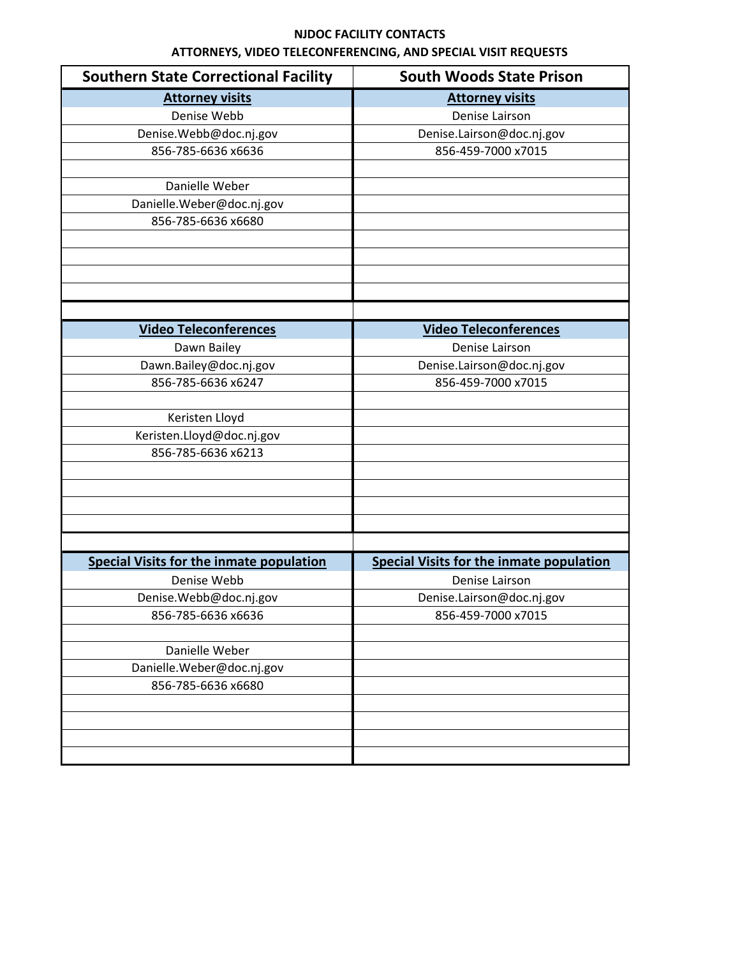| <b>Southern State Correctional Facility</b>     | <b>South Woods State Prison</b>                 |
|-------------------------------------------------|-------------------------------------------------|
| <b>Attorney visits</b>                          | <b>Attorney visits</b>                          |
| Denise Webb                                     | Denise Lairson                                  |
| Denise.Webb@doc.nj.gov                          | Denise.Lairson@doc.nj.gov                       |
| 856-785-6636 x6636                              | 856-459-7000 x7015                              |
|                                                 |                                                 |
| Danielle Weber                                  |                                                 |
| Danielle.Weber@doc.nj.gov                       |                                                 |
| 856-785-6636 x6680                              |                                                 |
|                                                 |                                                 |
|                                                 |                                                 |
|                                                 |                                                 |
|                                                 |                                                 |
|                                                 |                                                 |
| <b>Video Teleconferences</b>                    | <b>Video Teleconferences</b>                    |
| Dawn Bailey                                     | Denise Lairson                                  |
| Dawn.Bailey@doc.nj.gov                          | Denise.Lairson@doc.nj.gov                       |
| 856-785-6636 x6247                              | 856-459-7000 x7015                              |
|                                                 |                                                 |
| Keristen Lloyd                                  |                                                 |
| Keristen.Lloyd@doc.nj.gov                       |                                                 |
| 856-785-6636 x6213                              |                                                 |
|                                                 |                                                 |
|                                                 |                                                 |
|                                                 |                                                 |
|                                                 |                                                 |
|                                                 |                                                 |
| <b>Special Visits for the inmate population</b> | <b>Special Visits for the inmate population</b> |
| Denise Webb                                     | Denise Lairson                                  |
| Denise.Webb@doc.nj.gov                          | Denise.Lairson@doc.nj.gov                       |
| 856-785-6636 x6636                              | 856-459-7000 x7015                              |
|                                                 |                                                 |
| Danielle Weber                                  |                                                 |
| Danielle.Weber@doc.nj.gov                       |                                                 |
| 856-785-6636 x6680                              |                                                 |
|                                                 |                                                 |
|                                                 |                                                 |
|                                                 |                                                 |
|                                                 |                                                 |